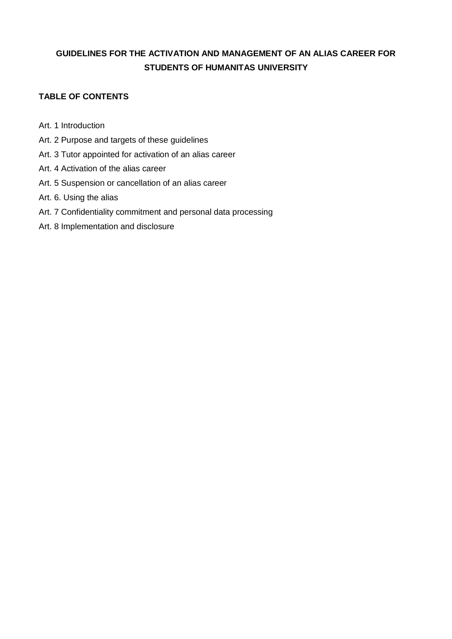# **GUIDELINES FOR THE ACTIVATION AND MANAGEMENT OF AN ALIAS CAREER FOR STUDENTS OF HUMANITAS UNIVERSITY**

## **TABLE OF CONTENTS**

Art. 1 Introduction

- Art. 2 Purpose and targets of these guidelines
- Art. 3 Tutor appointed for activation of an alias career
- Art. 4 Activation of the alias career
- Art. 5 Suspension or cancellation of an alias career
- Art. 6. Using the alias
- Art. 7 Confidentiality commitment and personal data processing
- Art. 8 Implementation and disclosure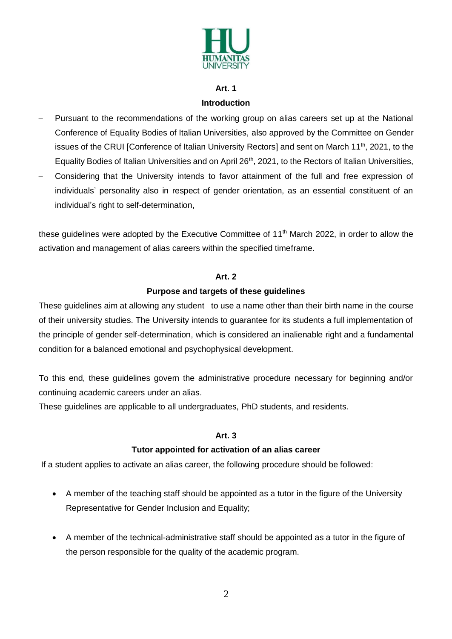

## **Art. 1 Introduction**

- Pursuant to the recommendations of the working group on alias careers set up at the National Conference of Equality Bodies of Italian Universities, also approved by the Committee on Gender issues of the CRUI [Conference of Italian University Rectors] and sent on March 11<sup>th</sup>, 2021, to the Equality Bodies of Italian Universities and on April 26<sup>th</sup>, 2021, to the Rectors of Italian Universities,
- Considering that the University intends to favor attainment of the full and free expression of individuals' personality also in respect of gender orientation, as an essential constituent of an individual's right to self-determination,

these guidelines were adopted by the Executive Committee of 11<sup>th</sup> March 2022, in order to allow the activation and management of alias careers within the specified timeframe.

#### **Art. 2**

### **Purpose and targets of these guidelines**

These guidelines aim at allowing any student to use a name other than their birth name in the course of their university studies. The University intends to guarantee for its students a full implementation of the principle of gender self-determination, which is considered an inalienable right and a fundamental condition for a balanced emotional and psychophysical development.

To this end, these guidelines govern the administrative procedure necessary for beginning and/or continuing academic careers under an alias.

These guidelines are applicable to all undergraduates, PhD students, and residents.

### **Art. 3**

### **Tutor appointed for activation of an alias career**

If a student applies to activate an alias career, the following procedure should be followed:

- A member of the teaching staff should be appointed as a tutor in the figure of the University Representative for Gender Inclusion and Equality;
- A member of the technical-administrative staff should be appointed as a tutor in the figure of the person responsible for the quality of the academic program.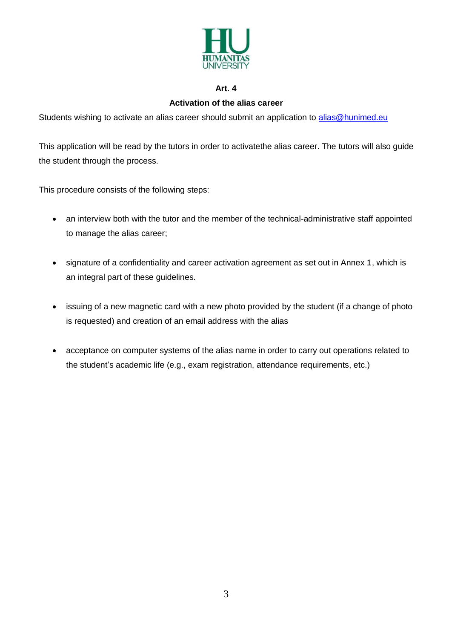

#### **Art. 4**

#### **Activation of the alias career**

Students wishing to activate an alias career should submit an application to [alias@hunimed.eu](mailto:alias@hunimed.eu)

This application will be read by the tutors in order to activatethe alias career. The tutors will also guide the student through the process.

This procedure consists of the following steps:

- an interview both with the tutor and the member of the technical-administrative staff appointed to manage the alias career;
- signature of a confidentiality and career activation agreement as set out in Annex 1, which is an integral part of these guidelines.
- issuing of a new magnetic card with a new photo provided by the student (if a change of photo is requested) and creation of an email address with the alias
- acceptance on computer systems of the alias name in order to carry out operations related to the student's academic life (e.g., exam registration, attendance requirements, etc.)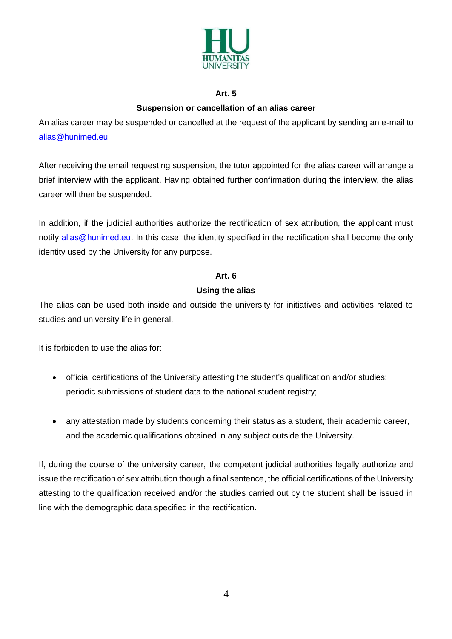

#### **Art. 5**

## **Suspension or cancellation of an alias career**

An alias career may be suspended or cancelled at the request of the applicant by sending an e-mail to [alias@hunimed.eu](mailto:alias@hunimed.eu)

After receiving the email requesting suspension, the tutor appointed for the alias career will arrange a brief interview with the applicant. Having obtained further confirmation during the interview, the alias career will then be suspended.

In addition, if the judicial authorities authorize the rectification of sex attribution, the applicant must notify [alias@hunimed.eu.](mailto:alias@hunimed.eu) In this case, the identity specified in the rectification shall become the only identity used by the University for any purpose.

#### **Art. 6**

#### **Using the alias**

The alias can be used both inside and outside the university for initiatives and activities related to studies and university life in general.

It is forbidden to use the alias for:

- official certifications of the University attesting the student's qualification and/or studies; periodic submissions of student data to the national student registry;
- any attestation made by students concerning their status as a student, their academic career, and the academic qualifications obtained in any subject outside the University.

If, during the course of the university career, the competent judicial authorities legally authorize and issue the rectification of sex attribution though a final sentence, the official certifications of the University attesting to the qualification received and/or the studies carried out by the student shall be issued in line with the demographic data specified in the rectification.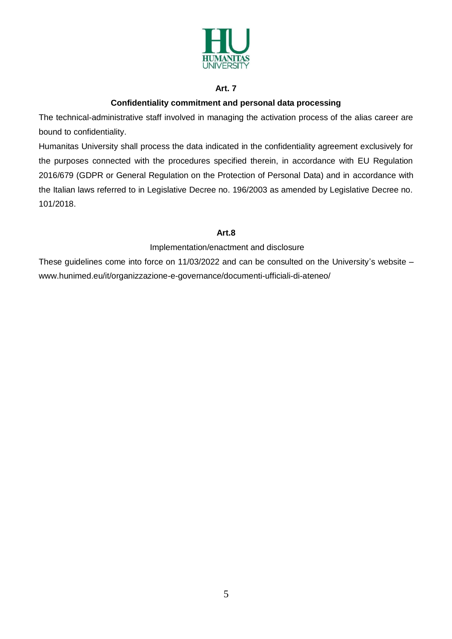

### **Art. 7**

## **Confidentiality commitment and personal data processing**

The technical-administrative staff involved in managing the activation process of the alias career are bound to confidentiality.

Humanitas University shall process the data indicated in the confidentiality agreement exclusively for the purposes connected with the procedures specified therein, in accordance with EU Regulation 2016/679 (GDPR or General Regulation on the Protection of Personal Data) and in accordance with the Italian laws referred to in Legislative Decree no. 196/2003 as amended by Legislative Decree no. 101/2018.

### **Art.8**

Implementation/enactment and disclosure

These guidelines come into force on 11/03/2022 and can be consulted on the University's website – www.hunimed.eu/it/organizzazione-e-governance/documenti-ufficiali-di-ateneo/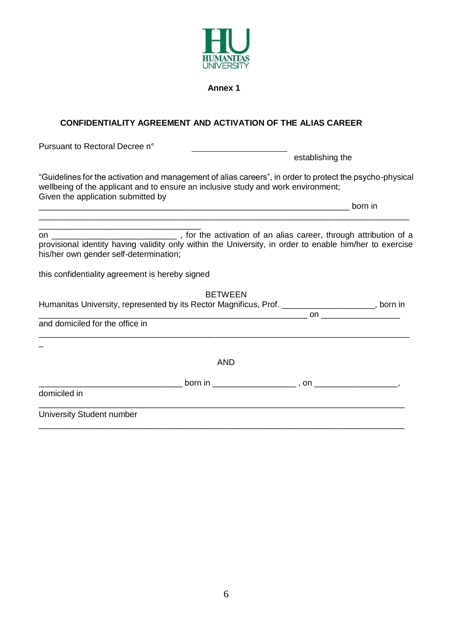

**Annex 1**

## **CONFIDENTIALITY AGREEMENT AND ACTIVATION OF THE ALIAS CAREER**

Pursuant to Rectoral Decree n° establishing the "Guidelines for the activation and management of alias careers", in order to protect the psycho-physical wellbeing of the applicant and to ensure an inclusive study and work environment; Given the application submitted by  $\Box$  and  $\Box$  and  $\Box$  born in \_\_\_\_\_\_\_\_\_\_\_\_\_\_\_\_\_\_\_\_\_\_\_\_\_\_\_\_\_\_\_\_\_\_\_\_\_\_\_\_\_\_\_\_\_\_\_\_\_\_\_\_\_\_\_\_\_\_\_\_\_\_\_\_\_\_\_\_\_\_\_\_\_\_\_\_\_\_\_\_ \_\_\_\_\_\_\_\_\_\_\_\_\_\_\_\_\_\_\_\_\_\_\_\_\_\_\_\_\_\_\_\_\_\_\_ on \_\_\_\_\_\_\_\_\_\_\_\_\_\_\_\_\_\_\_\_\_\_\_\_\_\_\_\_\_\_\_\_\_\_\_, for the activation of an alias career, through attribution of a provisional identity having validity only within the University, in order to enable him/her to exercise his/her own gender self-determination; this confidentiality agreement is hereby signed BETWEEN Humanitas University, represented by its Rector Magnificus, Prof. \_\_\_\_\_\_\_\_\_\_\_\_\_\_\_\_\_\_\_\_\_, born in \_\_\_\_\_\_\_\_\_\_\_\_\_\_\_\_\_\_\_\_\_\_\_\_\_\_\_\_\_\_\_\_\_\_\_\_\_\_\_\_\_\_\_\_\_\_\_\_\_\_\_\_\_\_\_\_\_\_ on \_\_\_\_\_\_\_\_\_\_\_\_\_\_\_\_\_ and domiciled for the office in \_\_\_\_\_\_\_\_\_\_\_\_\_\_\_\_\_\_\_\_\_\_\_\_\_\_\_\_\_\_\_\_\_\_\_\_\_\_\_\_\_\_\_\_\_\_\_\_\_\_\_\_\_\_\_\_\_\_\_\_\_\_\_\_\_\_\_\_\_\_\_\_\_\_\_\_\_\_\_\_  $\overline{\phantom{0}}$ AND \_\_\_\_\_\_\_\_\_\_\_\_\_\_\_\_\_\_\_\_\_\_\_\_\_\_\_\_\_\_\_ born in \_\_\_\_\_\_\_\_\_\_\_\_\_\_\_\_\_\_ , on \_\_\_\_\_\_\_\_\_\_\_\_\_\_\_\_\_\_, domiciled in \_\_\_\_\_\_\_\_\_\_\_\_\_\_\_\_\_\_\_\_\_\_\_\_\_\_\_\_\_\_\_\_\_\_\_\_\_\_\_\_\_\_\_\_\_\_\_\_\_\_\_\_\_\_\_\_\_\_\_\_\_\_\_\_\_\_\_\_\_\_\_\_\_\_\_\_\_\_\_ University Student number \_\_\_\_\_\_\_\_\_\_\_\_\_\_\_\_\_\_\_\_\_\_\_\_\_\_\_\_\_\_\_\_\_\_\_\_\_\_\_\_\_\_\_\_\_\_\_\_\_\_\_\_\_\_\_\_\_\_\_\_\_\_\_\_\_\_\_\_\_\_\_\_\_\_\_\_\_\_\_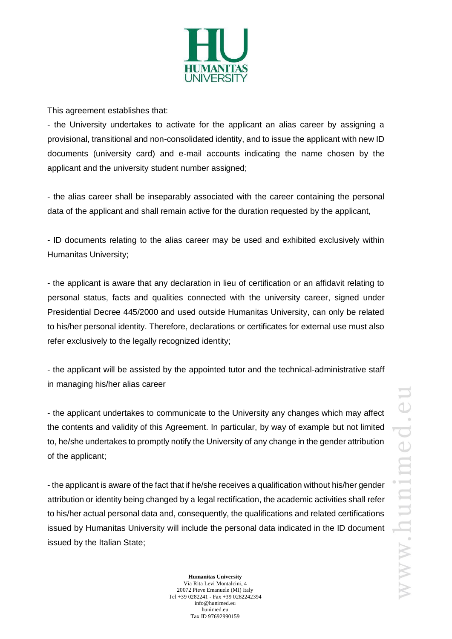

This agreement establishes that:

- the University undertakes to activate for the applicant an alias career by assigning a provisional, transitional and non-consolidated identity, and to issue the applicant with new ID documents (university card) and e-mail accounts indicating the name chosen by the applicant and the university student number assigned;

- the alias career shall be inseparably associated with the career containing the personal data of the applicant and shall remain active for the duration requested by the applicant,

- ID documents relating to the alias career may be used and exhibited exclusively within Humanitas University;

- the applicant is aware that any declaration in lieu of certification or an affidavit relating to personal status, facts and qualities connected with the university career, signed under Presidential Decree 445/2000 and used outside Humanitas University, can only be related to his/her personal identity. Therefore, declarations or certificates for external use must also refer exclusively to the legally recognized identity;

- the applicant will be assisted by the appointed tutor and the technical-administrative staff in managing his/her alias career

- the applicant undertakes to communicate to the University any changes which may affect the contents and validity of this Agreement. In particular, by way of example but not limited to, he/she undertakes to promptly notify the University of any change in the gender attribution of the applicant;

- the applicant is aware of the fact that if he/she receives a qualification without his/her gender attribution or identity being changed by a legal rectification, the academic activities shall refer to his/her actual personal data and, consequently, the qualifications and related certifications issued by Humanitas University will include the personal data indicated in the ID document issued by the Italian State;

> **Humanitas University** Via Rita Levi Montalcini, 4 20072 Pieve Emanuele (MI) Italy Tel +39 0282241 - Fax +39 0282242394 info@hunimed.eu hunimed.eu Tax ID 97692990159